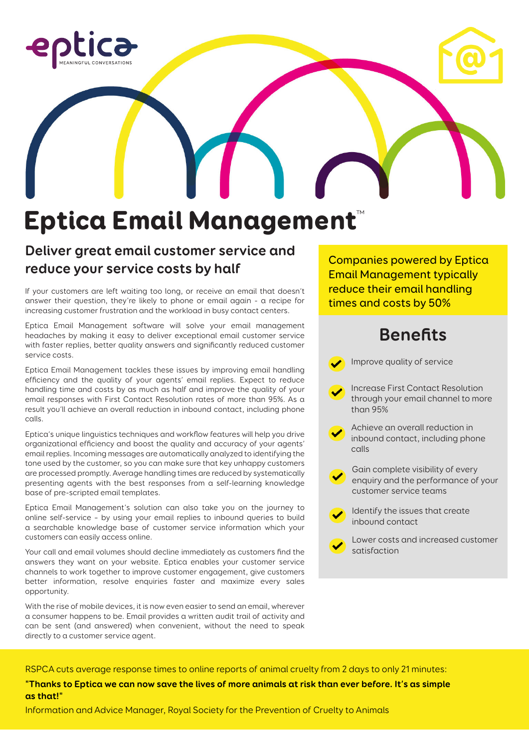

# Eptica Email Management™

### **Deliver great email customer service and reduce your service costs by half**

If your customers are left waiting too long, or receive an email that doesn't answer their question, they're likely to phone or email again - a recipe for increasing customer frustration and the workload in busy contact centers.

Eptica Email Management software will solve your email management headaches by making it easy to deliver exceptional email customer service with faster replies, better quality answers and significantly reduced customer service costs.

Eptica Email Management tackles these issues by improving email handling efficiency and the quality of your agents' email replies. Expect to reduce handling time and costs by as much as half and improve the quality of your email responses with First Contact Resolution rates of more than 95%. As a result you'll achieve an overall reduction in inbound contact, including phone calls.

Eptica's unique linguistics techniques and workflow features will help you drive organizational efficiency and boost the quality and accuracy of your agents' email replies. Incoming messages are automatically analyzed to identifying the tone used by the customer, so you can make sure that key unhappy customers are processed promptly. Average handling times are reduced by systematically presenting agents with the best responses from a self-learning knowledge base of pre-scripted email templates.

Eptica Email Management's solution can also take you on the journey to online self-service – by using your email replies to inbound queries to build a searchable knowledge base of customer service information which your customers can easily access online.

Your call and email volumes should decline immediately as customers find the answers they want on your website. Eptica enables your customer service channels to work together to improve customer engagement, give customers better information, resolve enquiries faster and maximize every sales opportunity.

With the rise of mobile devices, it is now even easier to send an email, wherever a consumer happens to be. Email provides a written audit trail of activity and can be sent (and answered) when convenient, without the need to speak directly to a customer service agent.

Companies powered by Eptica Email Management typically reduce their email handling times and costs by 50%

## **Benefits**



RSPCA cuts average response times to online reports of animal cruelty from 2 days to only 21 minutes:

**"Thanks to Eptica we can now save the lives of more animals at risk than ever before. It's as simple as that!"**

Information and Advice Manager, Royal Society for the Prevention of Cruelty to Animals